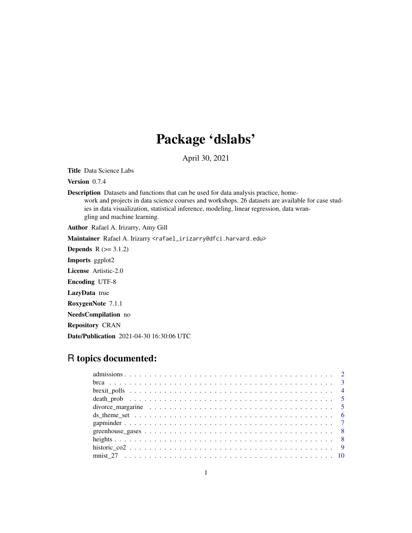## Package 'dslabs'

April 30, 2021

Title Data Science Labs

Version 0.7.4

Description Datasets and functions that can be used for data analysis practice, homework and projects in data science courses and workshops. 26 datasets are available for case studies in data visualization, statistical inference, modeling, linear regression, data wrangling and machine learning.

Author Rafael A. Irizarry, Amy Gill

Maintainer Rafael A. Irizarry <rafael\_irizarry@dfci.harvard.edu>

**Depends**  $R (= 3.1.2)$ 

Imports ggplot2

License Artistic-2.0

Encoding UTF-8

LazyData true

RoxygenNote 7.1.1

NeedsCompilation no

Repository CRAN

Date/Publication 2021-04-30 16:30:06 UTC

## R topics documented:

| divorce margarine $\ldots \ldots \ldots \ldots \ldots \ldots \ldots \ldots \ldots \ldots \ldots \ldots \ldots 5$ |  |
|------------------------------------------------------------------------------------------------------------------|--|
|                                                                                                                  |  |
|                                                                                                                  |  |
|                                                                                                                  |  |
|                                                                                                                  |  |
|                                                                                                                  |  |
|                                                                                                                  |  |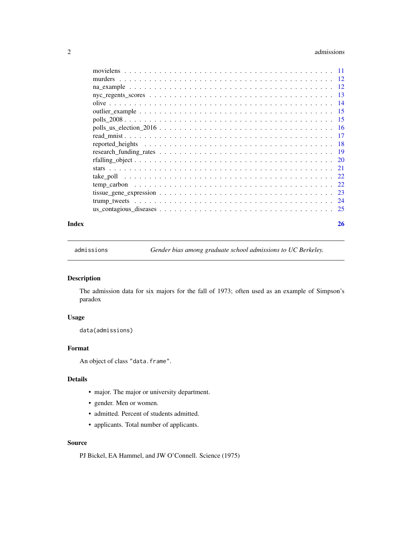#### <span id="page-1-0"></span>2 admissions and  $\alpha$  admissions and  $\alpha$  admissions and  $\alpha$  admissions and  $\alpha$  admissions and  $\alpha$  and  $\alpha$  and  $\alpha$  and  $\alpha$  and  $\alpha$  and  $\alpha$  and  $\alpha$  and  $\alpha$  and  $\alpha$  and  $\alpha$  and  $\alpha$  and  $\alpha$  and  $\alpha$  and  $\alpha$  and

|                                                                                                               | - 17 |     |
|---------------------------------------------------------------------------------------------------------------|------|-----|
| reported heights $\ldots \ldots \ldots \ldots \ldots \ldots \ldots \ldots \ldots \ldots \ldots \ldots \ldots$ |      | -18 |
|                                                                                                               |      | -19 |
|                                                                                                               |      |     |
|                                                                                                               |      | -21 |
|                                                                                                               |      | 22  |
|                                                                                                               |      | 22  |
|                                                                                                               |      | 23  |
|                                                                                                               |      |     |
|                                                                                                               |      |     |
|                                                                                                               |      |     |

#### **Index** [26](#page-25-0)

admissions *Gender bias among graduate school admissions to UC Berkeley.*

## Description

The admission data for six majors for the fall of 1973; often used as an example of Simpson's paradox

## Usage

```
data(admissions)
```
## Format

An object of class "data.frame".

## Details

- major. The major or university department.
- gender. Men or women.
- admitted. Percent of students admitted.
- applicants. Total number of applicants.

## Source

PJ Bickel, EA Hammel, and JW O'Connell. Science (1975)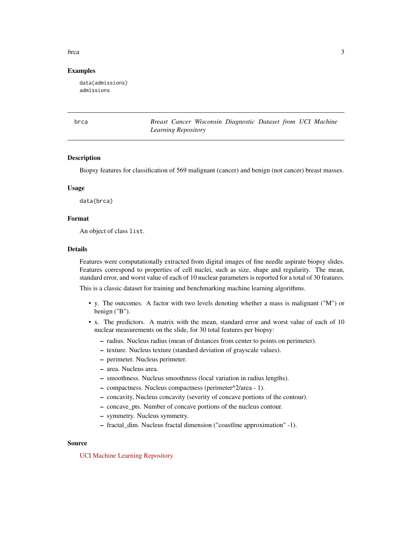<span id="page-2-0"></span>brca 3

#### Examples

data(admissions) admissions

brca *Breast Cancer Wisconsin Diagnostic Dataset from UCI Machine Learning Repository*

#### Description

Biopsy features for classification of 569 malignant (cancer) and benign (not cancer) breast masses.

#### Usage

data(brca)

## Format

An object of class list.

## Details

Features were computationally extracted from digital images of fine needle aspirate biopsy slides. Features correspond to properties of cell nuclei, such as size, shape and regularity. The mean, standard error, and worst value of each of 10 nuclear parameters is reported for a total of 30 features.

This is a classic dataset for training and benchmarking machine learning algorithms.

- y. The outcomes. A factor with two levels denoting whether a mass is malignant ("M") or benign ("B").
- x. The predictors. A matrix with the mean, standard error and worst value of each of 10 nuclear measurements on the slide, for 30 total features per biopsy:
	- radius. Nucleus radius (mean of distances from center to points on perimeter).
	- texture. Nucleus texture (standard deviation of grayscale values).
	- perimeter. Nucleus perimeter.
	- area. Nucleus area.
	- smoothness. Nucleus smoothness (local variation in radius lengths).
	- compactness. Nucleus compactness (perimeter^2/area 1).
	- concavity, Nucleus concavity (severity of concave portions of the contour).
	- concave\_pts. Number of concave portions of the nucleus contour.
	- symmetry. Nucleus symmetry.
	- fractal\_dim. Nucleus fractal dimension ("coastline approximation" -1).

#### Source

[UCI Machine Learning Repository](https://archive.ics.uci.edu/ml/datasets/)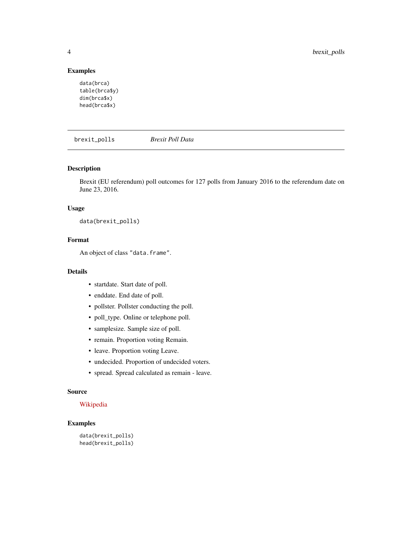## Examples

```
data(brca)
table(brca$y)
dim(brca$x)
head(brca$x)
```
brexit\_polls *Brexit Poll Data*

#### Description

Brexit (EU referendum) poll outcomes for 127 polls from January 2016 to the referendum date on June 23, 2016.

## Usage

data(brexit\_polls)

## Format

An object of class "data.frame".

## Details

- startdate. Start date of poll.
- enddate. End date of poll.
- pollster. Pollster conducting the poll.
- poll\_type. Online or telephone poll.
- samplesize. Sample size of poll.
- remain. Proportion voting Remain.
- leave. Proportion voting Leave.
- undecided. Proportion of undecided voters.
- spread. Spread calculated as remain leave.

#### Source

#### [Wikipedia](https://en.wikipedia.org/w/index.php?title=Opinion_polling_for_the_United_Kingdom_European_Union_membership_referendum&oldid=896735054)

```
data(brexit_polls)
head(brexit_polls)
```
<span id="page-3-0"></span>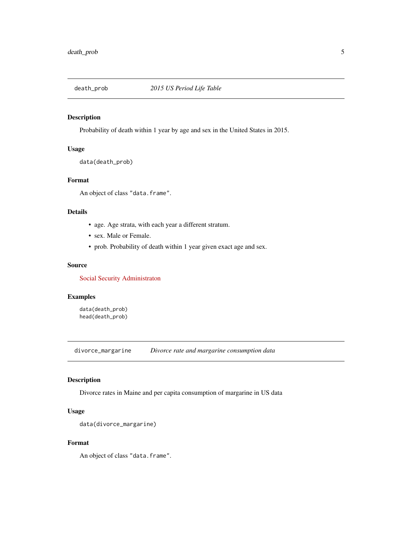<span id="page-4-0"></span>

Probability of death within 1 year by age and sex in the United States in 2015.

## Usage

data(death\_prob)

#### Format

An object of class "data.frame".

## Details

- age. Age strata, with each year a different stratum.
- sex. Male or Female.
- prob. Probability of death within 1 year given exact age and sex.

#### Source

[Social Security Administraton](https://www.ssa.gov/oact/STATS/table4c6.html)

## Examples

data(death\_prob) head(death\_prob)

divorce\_margarine *Divorce rate and margarine consumption data*

#### Description

Divorce rates in Maine and per capita consumption of margarine in US data

## Usage

```
data(divorce_margarine)
```
## Format

An object of class "data.frame".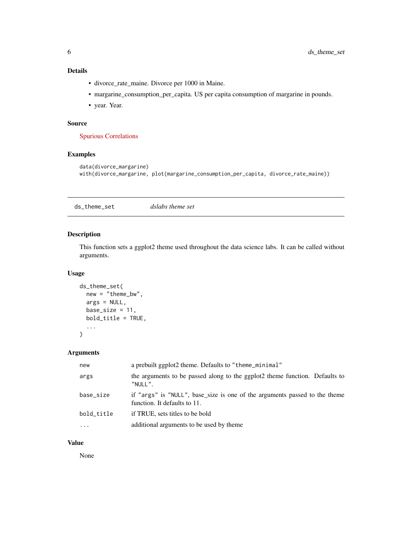## <span id="page-5-0"></span>Details

- divorce\_rate\_maine. Divorce per 1000 in Maine.
- margarine\_consumption\_per\_capita. US per capita consumption of margarine in pounds.
- year. Year.

## Source

[Spurious Correlations](http://www.tylervigen.com/spurious-correlations)

## Examples

```
data(divorce_margarine)
with(divorce_margarine, plot(margarine_consumption_per_capita, divorce_rate_maine))
```
ds\_theme\_set *dslabs theme set*

## Description

This function sets a ggplot2 theme used throughout the data science labs. It can be called without arguments.

#### Usage

```
ds_theme_set(
 new = "theme_bw",
  args = NULL,
 base_size = 11,
 bold_title = TRUE,
  ...
)
```
#### Arguments

| new        | a prebuilt ggplot2 theme. Defaults to "theme_minimal"                                                      |
|------------|------------------------------------------------------------------------------------------------------------|
| args       | the arguments to be passed along to the ggplot2 theme function. Defaults to<br>"NULL".                     |
| base size  | if "args" is "NULL", base_size is one of the arguments passed to the theme<br>function. It defaults to 11. |
| bold_title | if TRUE, sets titles to be bold                                                                            |
| $\ddotsc$  | additional arguments to be used by theme                                                                   |
|            |                                                                                                            |

## Value

None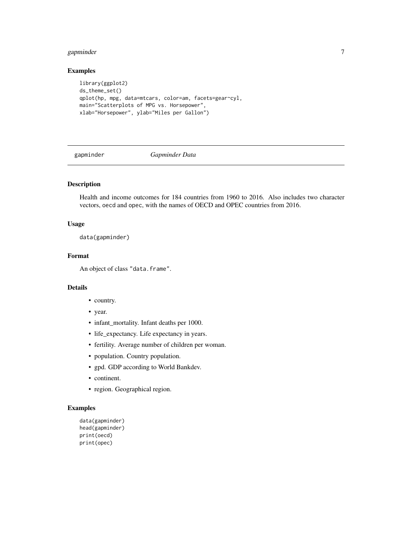## <span id="page-6-0"></span>gapminder 7

## Examples

```
library(ggplot2)
ds_theme_set()
qplot(hp, mpg, data=mtcars, color=am, facets=gear~cyl,
main="Scatterplots of MPG vs. Horsepower",
xlab="Horsepower", ylab="Miles per Gallon")
```
gapminder *Gapminder Data*

## Description

Health and income outcomes for 184 countries from 1960 to 2016. Also includes two character vectors, oecd and opec, with the names of OECD and OPEC countries from 2016.

#### Usage

data(gapminder)

## Format

An object of class "data.frame".

## Details

- country.
- year.
- infant\_mortality. Infant deaths per 1000.
- life\_expectancy. Life expectancy in years.
- fertility. Average number of children per woman.
- population. Country population.
- gpd. GDP according to World Bankdev.
- continent.
- region. Geographical region.

```
data(gapminder)
head(gapminder)
print(oecd)
print(opec)
```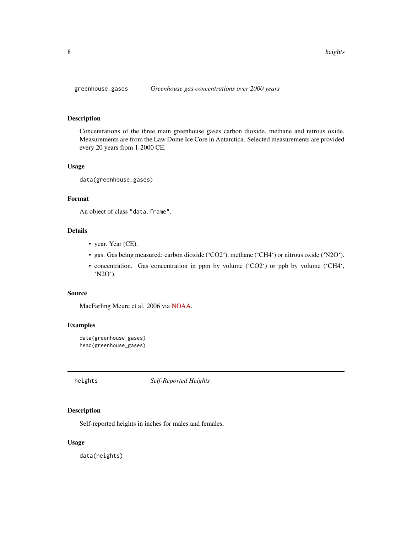<span id="page-7-0"></span>

Concentrations of the three main greenhouse gases carbon dioxide, methane and nitrous oxide. Measurements are from the Law Dome Ice Core in Antarctica. Selected measurements are provided every 20 years from 1-2000 CE.

## Usage

data(greenhouse\_gases)

#### Format

An object of class "data.frame".

## Details

- year. Year (CE).
- gas. Gas being measured: carbon dioxide ('CO2'), methane ('CH4') or nitrous oxide ('N2O').
- concentration. Gas concentration in ppm by volume ('CO2') or ppb by volume ('CH4', 'N2O').

#### Source

MacFarling Meure et al. 2006 via [NOAA.](https://www.ncdc.noaa.gov/paleo-search/study/9959)

## Examples

```
data(greenhouse_gases)
head(greenhouse_gases)
```
heights *Self-Reported Heights*

## Description

Self-reported heights in inches for males and females.

#### Usage

data(heights)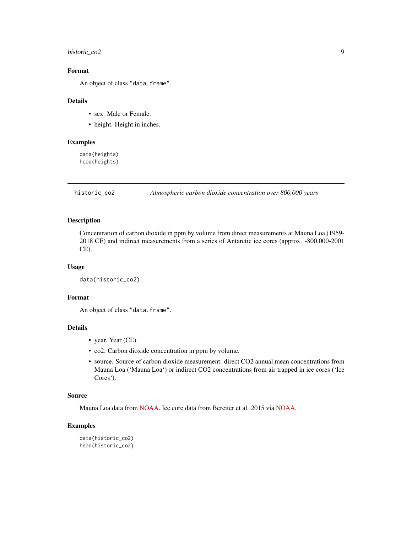## <span id="page-8-0"></span>historic\_co2 9

## Format

An object of class "data.frame".

#### Details

- sex. Male or Female.
- height. Height in inches.

#### Examples

data(heights) head(heights)

historic\_co2 *Atmospheric carbon dioxide concentration over 800,000 years*

#### Description

Concentration of carbon dioxide in ppm by volume from direct measurements at Mauna Loa (1959- 2018 CE) and indirect measurements from a series of Antarctic ice cores (approx. -800,000-2001 CE).

## Usage

```
data(historic_co2)
```
## Format

An object of class "data.frame".

## Details

- year. Year (CE).
- co2. Carbon dioxide concentration in ppm by volume.
- source. Source of carbon dioxide measurement: direct CO2 annual mean concentrations from Mauna Loa ('Mauna Loa') or indirect CO2 concentrations from air trapped in ice cores ('Ice Cores').

## Source

Mauna Loa data from [NOAA.](https://www.esrl.noaa.gov/gmd/ccgg/trends/data.html) Ice core data from Bereiter et al. 2015 via [NOAA.](https://www.ncdc.noaa.gov/paleo-search/study/17975)

```
data(historic_co2)
head(historic_co2)
```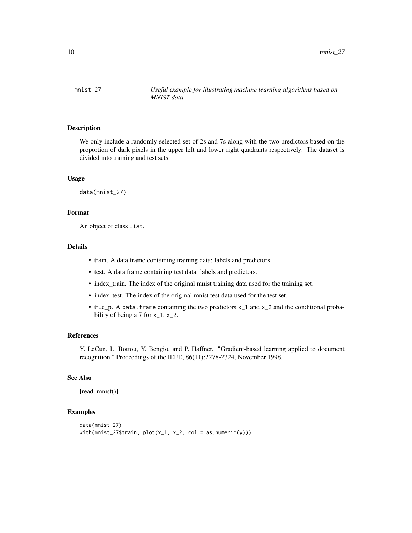<span id="page-9-0"></span>mnist\_27 *Useful example for illustrating machine learning algorithms based on MNIST data*

## Description

We only include a randomly selected set of 2s and 7s along with the two predictors based on the proportion of dark pixels in the upper left and lower right quadrants respectively. The dataset is divided into training and test sets.

#### Usage

data(mnist\_27)

## Format

An object of class list.

#### Details

- train. A data frame containing training data: labels and predictors.
- test. A data frame containing test data: labels and predictors.
- index\_train. The index of the original mnist training data used for the training set.
- index\_test. The index of the original mnist test data used for the test set.
- true\_p. A data.frame containing the two predictors x\_1 and x\_2 and the conditional probability of being a 7 for  $x_1$ ,  $x_2$ .

#### **References**

Y. LeCun, L. Bottou, Y. Bengio, and P. Haffner. "Gradient-based learning applied to document recognition." Proceedings of the IEEE, 86(11):2278-2324, November 1998.

#### See Also

[read\_mnist()]

```
data(mnist_27)
with(mnist_27$train, plot(x_1, x_2, col = as.numeric(y)))
```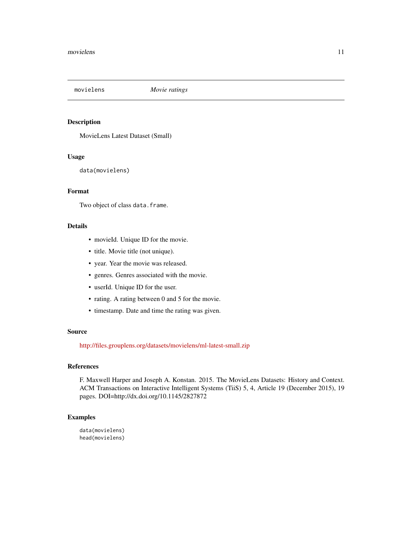<span id="page-10-0"></span>

MovieLens Latest Dataset (Small)

#### Usage

data(movielens)

## Format

Two object of class data.frame.

## Details

- movieId. Unique ID for the movie.
- title. Movie title (not unique).
- year. Year the movie was released.
- genres. Genres associated with the movie.
- userId. Unique ID for the user.
- rating. A rating between 0 and 5 for the movie.
- timestamp. Date and time the rating was given.

#### Source

<http://files.grouplens.org/datasets/movielens/ml-latest-small.zip>

## References

F. Maxwell Harper and Joseph A. Konstan. 2015. The MovieLens Datasets: History and Context. ACM Transactions on Interactive Intelligent Systems (TiiS) 5, 4, Article 19 (December 2015), 19 pages. DOI=http://dx.doi.org/10.1145/2827872

#### Examples

data(movielens) head(movielens)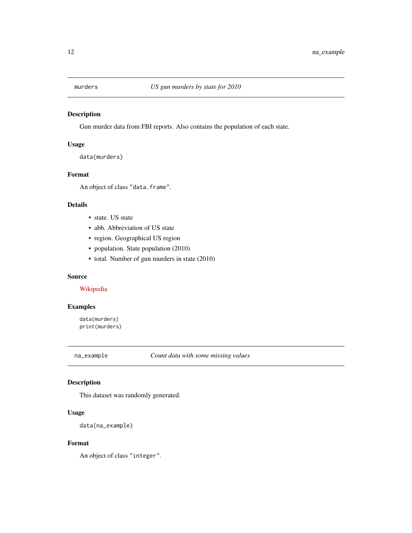<span id="page-11-0"></span>

Gun murder data from FBI reports. Also contains the population of each state.

## Usage

data(murders)

## Format

An object of class "data.frame".

## Details

- state. US state
- abb. Abbreviation of US state
- region. Geographical US region
- population. State population (2010)
- total. Number of gun murders in state (2010)

#### Source

## [Wikipedia](https://en.wikipedia.org/wiki/Murder_in_the_United_States_by_state)

## Examples

data(murders) print(murders)

na\_example *Count data with some missing values*

## Description

This dataset was randomly generated.

## Usage

data(na\_example)

## Format

An object of class "integer".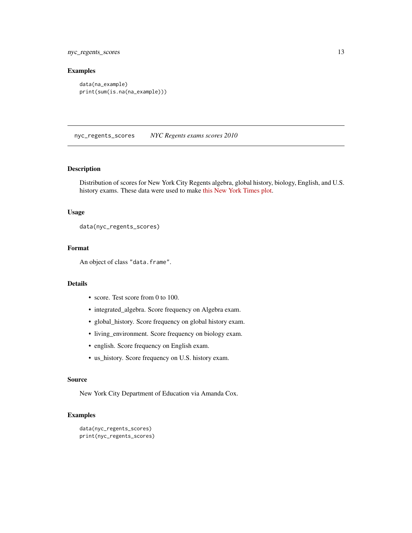<span id="page-12-0"></span>nyc\_regents\_scores 13

## Examples

```
data(na_example)
print(sum(is.na(na_example)))
```
nyc\_regents\_scores *NYC Regents exams scores 2010*

#### Description

Distribution of scores for New York City Regents algebra, global history, biology, English, and U.S. history exams. These data were used to make [this New York Times plot.](http://graphics8.nytimes.com/images/2011/02/19/nyregion/19schoolsch/19schoolsch-popup.gif)

#### Usage

```
data(nyc_regents_scores)
```
## Format

An object of class "data.frame".

## Details

- score. Test score from 0 to 100.
- integrated\_algebra. Score frequency on Algebra exam.
- global\_history. Score frequency on global history exam.
- living\_environment. Score frequency on biology exam.
- english. Score frequency on English exam.
- us\_history. Score frequency on U.S. history exam.

#### Source

New York City Department of Education via Amanda Cox.

```
data(nyc_regents_scores)
print(nyc_regents_scores)
```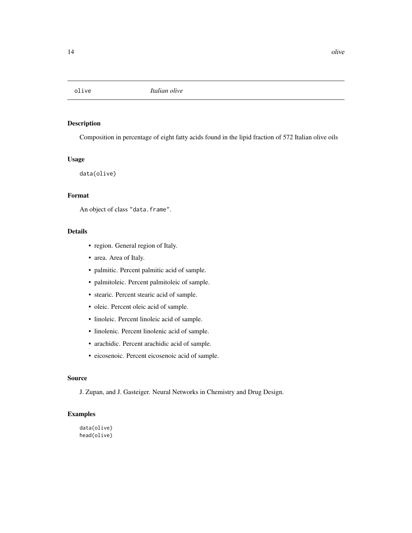<span id="page-13-0"></span>

Composition in percentage of eight fatty acids found in the lipid fraction of 572 Italian olive oils

## Usage

data(olive)

## Format

An object of class "data.frame".

## Details

- region. General region of Italy.
- area. Area of Italy.
- palmitic. Percent palmitic acid of sample.
- palmitoleic. Percent palmitoleic of sample.
- stearic. Percent stearic acid of sample.
- oleic. Percent oleic acid of sample.
- linoleic. Percent linoleic acid of sample.
- linolenic. Percent linolenic acid of sample.
- arachidic. Percent arachidic acid of sample.
- eicosenoic. Percent eicosenoic acid of sample.

#### Source

J. Zupan, and J. Gasteiger. Neural Networks in Chemistry and Drug Design.

## Examples

data(olive) head(olive)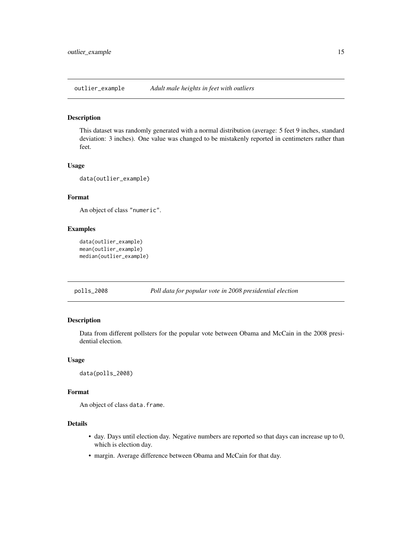<span id="page-14-0"></span>outlier\_example *Adult male heights in feet with outliers*

## Description

This dataset was randomly generated with a normal distribution (average: 5 feet 9 inches, standard deviation: 3 inches). One value was changed to be mistakenly reported in centimeters rather than feet.

#### Usage

data(outlier\_example)

## Format

An object of class "numeric".

## Examples

```
data(outlier_example)
mean(outlier_example)
median(outlier_example)
```
#### polls\_2008 *Poll data for popular vote in 2008 presidential election*

## Description

Data from different pollsters for the popular vote between Obama and McCain in the 2008 presidential election.

#### Usage

```
data(polls_2008)
```
## Format

An object of class data.frame.

## Details

- day. Days until election day. Negative numbers are reported so that days can increase up to 0, which is election day.
- margin. Average difference between Obama and McCain for that day.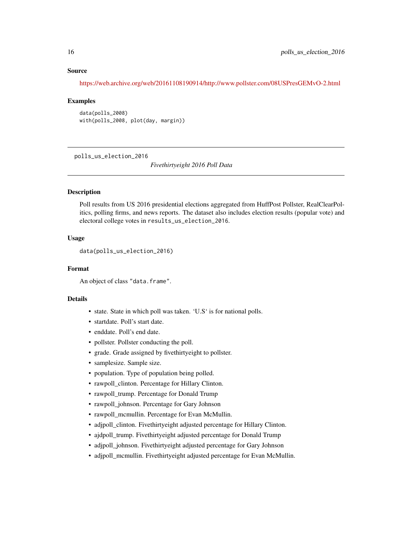#### <span id="page-15-0"></span>Source

<https://web.archive.org/web/20161108190914/http://www.pollster.com/08USPresGEMvO-2.html>

#### Examples

data(polls\_2008) with(polls\_2008, plot(day, margin))

polls\_us\_election\_2016

*Fivethirtyeight 2016 Poll Data*

## **Description**

Poll results from US 2016 presidential elections aggregated from HuffPost Pollster, RealClearPolitics, polling firms, and news reports. The dataset also includes election results (popular vote) and electoral college votes in results\_us\_election\_2016.

#### Usage

data(polls\_us\_election\_2016)

#### Format

An object of class "data.frame".

#### Details

- state. State in which poll was taken. 'U.S' is for national polls.
- startdate. Poll's start date.
- enddate. Poll's end date.
- pollster. Pollster conducting the poll.
- grade. Grade assigned by fivethirtyeight to pollster.
- samplesize. Sample size.
- population. Type of population being polled.
- rawpoll\_clinton. Percentage for Hillary Clinton.
- rawpoll\_trump. Percentage for Donald Trump
- rawpoll\_johnson. Percentage for Gary Johnson
- rawpoll\_mcmullin. Percentage for Evan McMullin.
- adjpoll\_clinton. Fivethirtyeight adjusted percentage for Hillary Clinton.
- ajdpoll\_trump. Fivethirtyeight adjusted percentage for Donald Trump
- adjpoll\_johnson. Fivethirtyeight adjusted percentage for Gary Johnson
- adjpoll\_mcmullin. Fivethirtyeight adjusted percentage for Evan McMullin.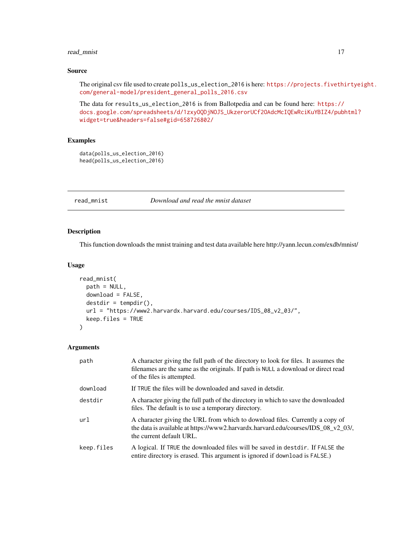## <span id="page-16-0"></span>read\_mnist 17

## Source

The original csv file used to create polls\_us\_election\_2016 is here: [https://projects.fivethi](https://projects.fivethirtyeight.com/general-model/president_general_polls_2016.csv)rtyeight. [com/general-model/president\\_general\\_polls\\_2016.csv](https://projects.fivethirtyeight.com/general-model/president_general_polls_2016.csv)

The data for results\_us\_election\_2016 is from Ballotpedia and can be found here: [https://](https://docs.google.com/spreadsheets/d/1zxyOQDjNOJS_UkzerorUCf2OAdcMcIQEwRciKuYBIZ4/pubhtml?widget=true&headers=false#gid=658726802/) [docs.google.com/spreadsheets/d/1zxyOQDjNOJS\\_UkzerorUCf2OAdcMcIQEwRciKuYBIZ4/pubh](https://docs.google.com/spreadsheets/d/1zxyOQDjNOJS_UkzerorUCf2OAdcMcIQEwRciKuYBIZ4/pubhtml?widget=true&headers=false#gid=658726802/)tml? [widget=true&headers=false#gid=658726802/](https://docs.google.com/spreadsheets/d/1zxyOQDjNOJS_UkzerorUCf2OAdcMcIQEwRciKuYBIZ4/pubhtml?widget=true&headers=false#gid=658726802/)

## Examples

```
data(polls_us_election_2016)
head(polls_us_election_2016)
```
## read\_mnist *Download and read the mnist dataset*

## Description

This function downloads the mnist training and test data available here http://yann.lecun.com/exdb/mnist/

#### Usage

```
read_mnist(
 path = NULL,
  download = FALSE,
 destdir = tempdir(),url = "https://www2.harvardx.harvard.edu/courses/IDS_08_v2_03/",
 keep.files = TRUE
\lambda
```
#### Arguments

| path       | A character giving the full path of the directory to look for files. It assumes the<br>filenames are the same as the originals. If path is NULL a download or direct read<br>of the files is attempted.  |
|------------|----------------------------------------------------------------------------------------------------------------------------------------------------------------------------------------------------------|
| download   | If TRUE the files will be downloaded and saved in detsdir.                                                                                                                                               |
| destdir    | A character giving the full path of the directory in which to save the downloaded<br>files. The default is to use a temporary directory.                                                                 |
| url        | A character giving the URL from which to download files. Currently a copy of<br>the data is available at https://www2.harvardx.harvard.edu/courses/IDS $\,08\,$ v2 $\,03/$ .<br>the current default URL. |
| keep.files | A logical. If TRUE the downloaded files will be saved in destdir. If FALSE the<br>entire directory is erased. This argument is ignored if download is FALSE.)                                            |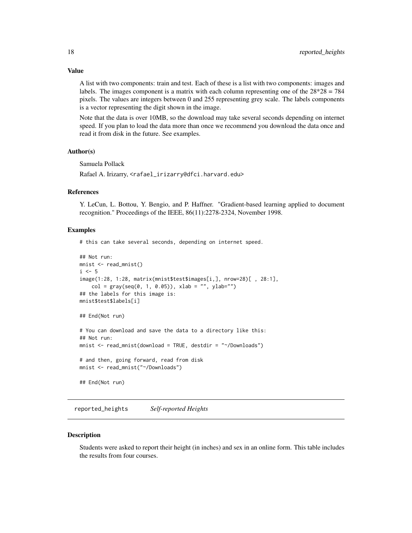<span id="page-17-0"></span>A list with two components: train and test. Each of these is a list with two components: images and labels. The images component is a matrix with each column representing one of the  $28*28 = 784$ pixels. The values are integers between 0 and 255 representing grey scale. The labels components is a vector representing the digit shown in the image.

Note that the data is over 10MB, so the download may take several seconds depending on internet speed. If you plan to load the data more than once we recommend you download the data once and read it from disk in the future. See examples.

## Author(s)

Samuela Pollack

Rafael A. Irizarry, <rafael\_irizarry@dfci.harvard.edu>

#### References

Y. LeCun, L. Bottou, Y. Bengio, and P. Haffner. "Gradient-based learning applied to document recognition." Proceedings of the IEEE, 86(11):2278-2324, November 1998.

#### Examples

# this can take several seconds, depending on internet speed.

```
## Not run:
mnist <- read_mnist()
i \leq -5image(1:28, 1:28, matrix(mnist$test$images[i,], nrow=28)[ , 28:1],
    col = gray(seq(0, 1, 0.05)), xlab = "", ylab="")
## the labels for this image is:
mnist$test$labels[i]
## End(Not run)
# You can download and save the data to a directory like this:
## Not run:
mnist <- read_mnist(download = TRUE, destdir = "~/Downloads")
# and then, going forward, read from disk
mnist <- read_mnist("~/Downloads")
## End(Not run)
```
reported\_heights *Self-reported Heights*

#### Description

Students were asked to report their height (in inches) and sex in an online form. This table includes the results from four courses.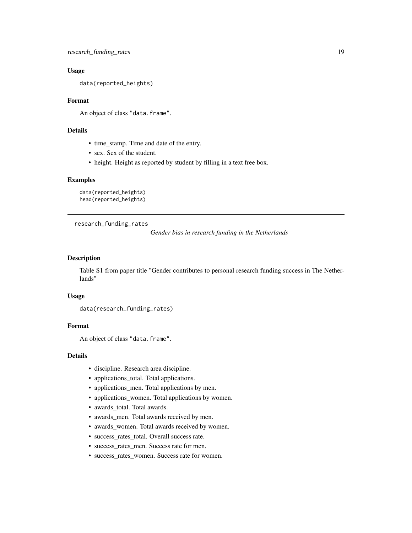## <span id="page-18-0"></span>Usage

data(reported\_heights)

#### Format

An object of class "data.frame".

## Details

- time\_stamp. Time and date of the entry.
- sex. Sex of the student.
- height. Height as reported by student by filling in a text free box.

#### Examples

```
data(reported_heights)
head(reported_heights)
```
research\_funding\_rates

*Gender bias in research funding in the Netherlands*

## Description

Table S1 from paper title "Gender contributes to personal research funding success in The Netherlands"

#### Usage

data(research\_funding\_rates)

## Format

An object of class "data.frame".

#### Details

- discipline. Research area discipline.
- applications\_total. Total applications.
- applications\_men. Total applications by men.
- applications\_women. Total applications by women.
- awards\_total. Total awards.
- awards\_men. Total awards received by men.
- awards\_women. Total awards received by women.
- success\_rates\_total. Overall success rate.
- success\_rates\_men. Success rate for men.
- success\_rates\_women. Success rate for women.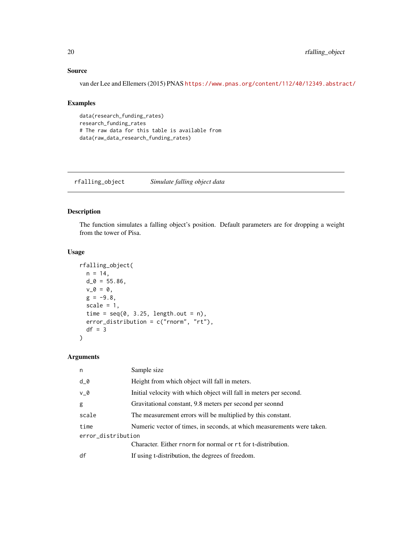## Source

van der Lee and Ellemers (2015) PNAS <https://www.pnas.org/content/112/40/12349.abstract/>

## Examples

```
data(research_funding_rates)
research_funding_rates
# The raw data for this table is available from
data(raw_data_research_funding_rates)
```
rfalling\_object *Simulate falling object data*

## Description

The function simulates a falling object's position. Default parameters are for dropping a weight from the tower of Pisa.

#### Usage

```
rfalling_object(
 n = 14,
 d_0 = 55.86,
 v_0 = 0,g = -9.8,
  scale = 1,
 time = seq(0, 3.25, length.out = n),
 error_distribution = c("rnorm", "rt"),
 df = 3\lambda
```
#### Arguments

| n                  | Sample size                                                            |  |  |
|--------------------|------------------------------------------------------------------------|--|--|
| $d_0$              | Height from which object will fall in meters.                          |  |  |
| $V_0$              | Initial velocity with which object will fall in meters per second.     |  |  |
| g                  | Gravitational constant, 9.8 meters per second per seonnd               |  |  |
| scale              | The measurement errors will be multiplied by this constant.            |  |  |
| time               | Numeric vector of times, in seconds, at which measurements were taken. |  |  |
| error_distribution |                                                                        |  |  |
|                    | Character. Either rnorm for normal or rt for t-distribution.           |  |  |
| df                 | If using t-distribution, the degrees of freedom.                       |  |  |
|                    |                                                                        |  |  |

<span id="page-19-0"></span>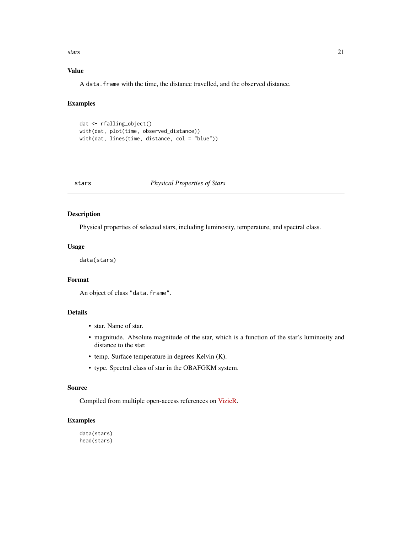<span id="page-20-0"></span>stars 21

## Value

A data.frame with the time, the distance travelled, and the observed distance.

## Examples

```
dat <- rfalling_object()
with(dat, plot(time, observed_distance))
with(dat, lines(time, distance, col = "blue"))
```
## stars *Physical Properties of Stars*

## Description

Physical properties of selected stars, including luminosity, temperature, and spectral class.

#### Usage

data(stars)

## Format

An object of class "data.frame".

## Details

- star. Name of star.
- magnitude. Absolute magnitude of the star, which is a function of the star's luminosity and distance to the star.
- temp. Surface temperature in degrees Kelvin (K).
- type. Spectral class of star in the OBAFGKM system.

## Source

Compiled from multiple open-access references on [VizieR.](http://vizier.u-strasbg.fr/viz-bin/VizieR)

## Examples

data(stars) head(stars)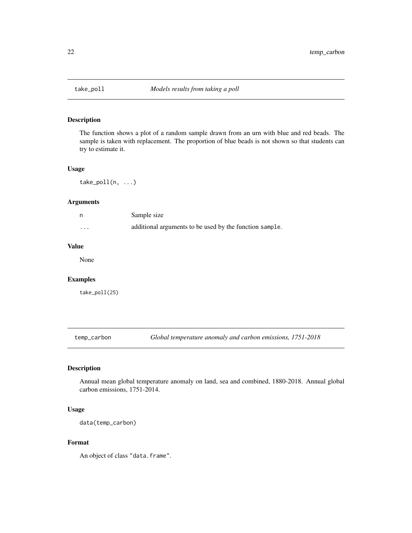<span id="page-21-0"></span>

The function shows a plot of a random sample drawn from an urn with blue and red beads. The sample is taken with replacement. The proportion of blue beads is not shown so that students can try to estimate it.

#### Usage

 $take\_poll(n, ...)$ 

#### Arguments

|          | Sample size                                             |
|----------|---------------------------------------------------------|
| $\cdots$ | additional arguments to be used by the function sample. |

## Value

None

## Examples

take\_poll(25)

temp\_carbon *Global temperature anomaly and carbon emissions, 1751-2018*

## Description

Annual mean global temperature anomaly on land, sea and combined, 1880-2018. Annual global carbon emissions, 1751-2014.

#### Usage

data(temp\_carbon)

#### Format

An object of class "data.frame".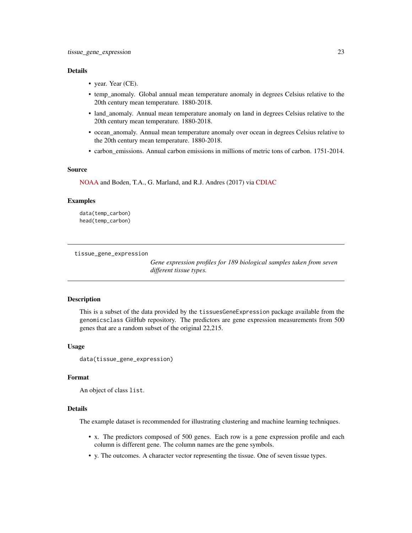#### <span id="page-22-0"></span>Details

- year. Year (CE).
- temp\_anomaly. Global annual mean temperature anomaly in degrees Celsius relative to the 20th century mean temperature. 1880-2018.
- land\_anomaly. Annual mean temperature anomaly on land in degrees Celsius relative to the 20th century mean temperature. 1880-2018.
- ocean\_anomaly. Annual mean temperature anomaly over ocean in degrees Celsius relative to the 20th century mean temperature. 1880-2018.
- carbon\_emissions. Annual carbon emissions in millions of metric tons of carbon. 1751-2014.

#### Source

[NOAA](https://www.ncdc.noaa.gov/cag/global/time-series) and Boden, T.A., G. Marland, and R.J. Andres (2017) via [CDIAC](https://cdiac.ess-dive.lbl.gov/trends/emis/tre_glob_2014.html)

#### Examples

data(temp\_carbon) head(temp\_carbon)

tissue\_gene\_expression

*Gene expression profiles for 189 biological samples taken from seven different tissue types.*

## **Description**

This is a subset of the data provided by the tissuesGeneExpression package available from the genomicsclass GitHub repository. The predictors are gene expression measurements from 500 genes that are a random subset of the original 22,215.

#### Usage

data(tissue\_gene\_expression)

#### Format

An object of class list.

#### Details

The example dataset is recommended for illustrating clustering and machine learning techniques.

- x. The predictors composed of 500 genes. Each row is a gene expression profile and each column is different gene. The column names are the gene symbols.
- y. The outcomes. A character vector representing the tissue. One of seven tissue types.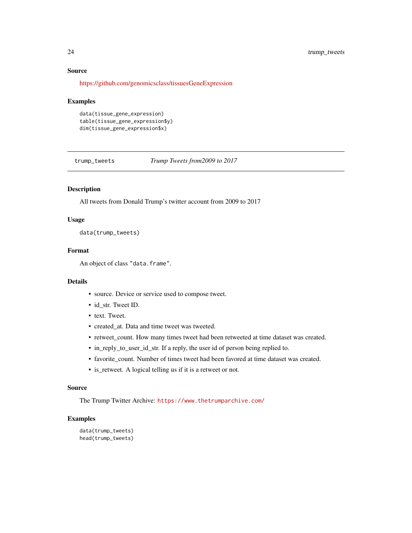## <span id="page-23-0"></span>Source

<https://github.com/genomicsclass/tissuesGeneExpression>

#### Examples

```
data(tissue_gene_expression)
table(tissue_gene_expression$y)
dim(tissue_gene_expression$x)
```
trump\_tweets *Trump Tweets from2009 to 2017*

## Description

All tweets from Donald Trump's twitter account from 2009 to 2017

## Usage

data(trump\_tweets)

#### Format

An object of class "data.frame".

#### Details

- source. Device or service used to compose tweet.
- id str. Tweet ID.
- text. Tweet.
- created\_at. Data and time tweet was tweeted.
- retweet\_count. How many times tweet had been retweeted at time dataset was created.
- in\_reply\_to\_user\_id\_str. If a reply, the user id of person being replied to.
- favorite\_count. Number of times tweet had been favored at time dataset was created.
- is\_retweet. A logical telling us if it is a retweet or not.

## Source

The Trump Twitter Archive: <https://www.thetrumparchive.com/>

```
data(trump_tweets)
head(trump_tweets)
```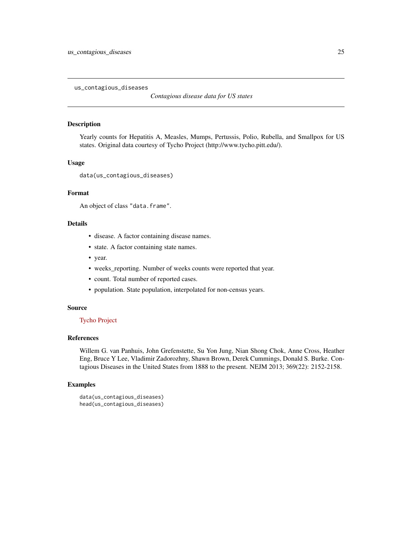<span id="page-24-0"></span>us\_contagious\_diseases

*Contagious disease data for US states*

#### Description

Yearly counts for Hepatitis A, Measles, Mumps, Pertussis, Polio, Rubella, and Smallpox for US states. Original data courtesy of Tycho Project (http://www.tycho.pitt.edu/).

## Usage

```
data(us_contagious_diseases)
```
#### Format

An object of class "data.frame".

#### Details

- disease. A factor containing disease names.
- state. A factor containing state names.
- year.
- weeks\_reporting. Number of weeks counts were reported that year.
- count. Total number of reported cases.
- population. State population, interpolated for non-census years.

#### Source

## [Tycho Project](http://www.tycho.pitt.edu/)

#### References

Willem G. van Panhuis, John Grefenstette, Su Yon Jung, Nian Shong Chok, Anne Cross, Heather Eng, Bruce Y Lee, Vladimir Zadorozhny, Shawn Brown, Derek Cummings, Donald S. Burke. Contagious Diseases in the United States from 1888 to the present. NEJM 2013; 369(22): 2152-2158.

```
data(us_contagious_diseases)
head(us_contagious_diseases)
```